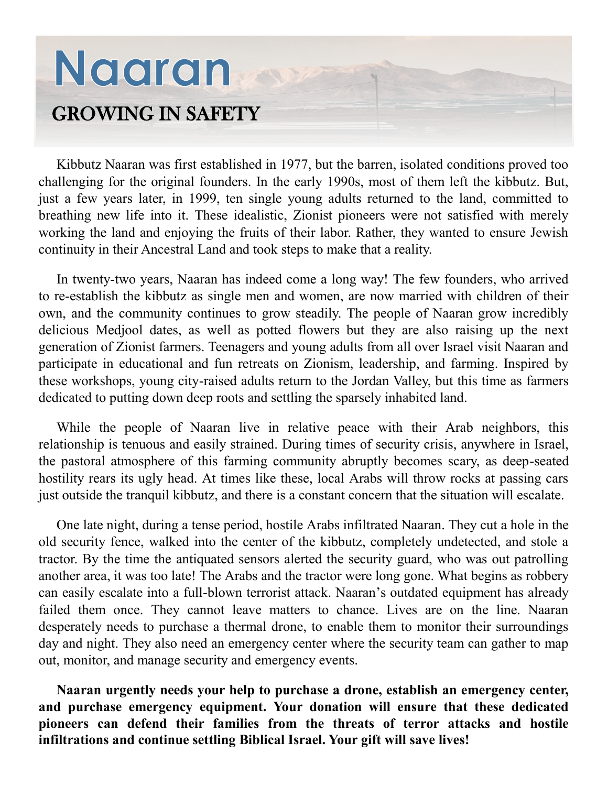## Nagran GROWING IN SAFETY

Kibbutz Naaran was first established in 1977, but the barren, isolated conditions proved too challenging for the original founders. In the early 1990s, most of them left the kibbutz. But, just a few years later, in 1999, ten single young adults returned to the land, committed to breathing new life into it. These idealistic, Zionist pioneers were not satisfied with merely working the land and enjoying the fruits of their labor. Rather, they wanted to ensure Jewish continuity in their Ancestral Land and took steps to make that a reality.

In twenty-two years, Naaran has indeed come a long way! The few founders, who arrived to re-establish the kibbutz as single men and women, are now married with children of their own, and the community continues to grow steadily. The people of Naaran grow incredibly delicious Medjool dates, as well as potted flowers but they are also raising up the next generation of Zionist farmers. Teenagers and young adults from all over Israel visit Naaran and participate in educational and fun retreats on Zionism, leadership, and farming. Inspired by these workshops, young city-raised adults return to the Jordan Valley, but this time as farmers dedicated to putting down deep roots and settling the sparsely inhabited land.

While the people of Naaran live in relative peace with their Arab neighbors, this relationship is tenuous and easily strained. During times of security crisis, anywhere in Israel, the pastoral atmosphere of this farming community abruptly becomes scary, as deep-seated hostility rears its ugly head. At times like these, local Arabs will throw rocks at passing cars just outside the tranquil kibbutz, and there is a constant concern that the situation will escalate.

One late night, during a tense period, hostile Arabs infiltrated Naaran. They cut a hole in the old security fence, walked into the center of the kibbutz, completely undetected, and stole a tractor. By the time the antiquated sensors alerted the security guard, who was out patrolling another area, it was too late! The Arabs and the tractor were long gone. What begins as robbery can easily escalate into a full-blown terrorist attack. Naaran's outdated equipment has already failed them once. They cannot leave matters to chance. Lives are on the line. Naaran desperately needs to purchase a thermal drone, to enable them to monitor their surroundings day and night. They also need an emergency center where the security team can gather to map out, monitor, and manage security and emergency events.

**Naaran urgently needs your help to purchase a drone, establish an emergency center, and purchase emergency equipment. Your donation will ensure that these dedicated pioneers can defend their families from the threats of terror attacks and hostile infiltrations and continue settling Biblical Israel. Your gift will save lives!**